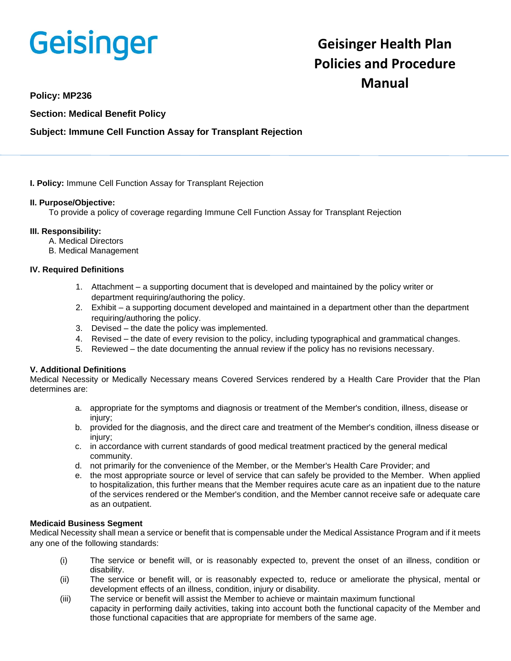

# **Geisinger Health Plan Policies and Procedure Manual**

**Policy: MP236**

**Section: Medical Benefit Policy**

## **Subject: Immune Cell Function Assay for Transplant Rejection**

**I. Policy:** Immune Cell Function Assay for Transplant Rejection

### **II. Purpose/Objective:**

To provide a policy of coverage regarding Immune Cell Function Assay for Transplant Rejection

### **III. Responsibility:**

- A. Medical Directors
- B. Medical Management

### **IV. Required Definitions**

- 1. Attachment a supporting document that is developed and maintained by the policy writer or department requiring/authoring the policy.
- 2. Exhibit a supporting document developed and maintained in a department other than the department requiring/authoring the policy.
- 3. Devised the date the policy was implemented.
- 4. Revised the date of every revision to the policy, including typographical and grammatical changes.
- 5. Reviewed the date documenting the annual review if the policy has no revisions necessary.

## **V. Additional Definitions**

Medical Necessity or Medically Necessary means Covered Services rendered by a Health Care Provider that the Plan determines are:

- a. appropriate for the symptoms and diagnosis or treatment of the Member's condition, illness, disease or injury;
- b. provided for the diagnosis, and the direct care and treatment of the Member's condition, illness disease or injury;
- c. in accordance with current standards of good medical treatment practiced by the general medical community.
- d. not primarily for the convenience of the Member, or the Member's Health Care Provider; and
- e. the most appropriate source or level of service that can safely be provided to the Member. When applied to hospitalization, this further means that the Member requires acute care as an inpatient due to the nature of the services rendered or the Member's condition, and the Member cannot receive safe or adequate care as an outpatient.

#### **Medicaid Business Segment**

Medical Necessity shall mean a service or benefit that is compensable under the Medical Assistance Program and if it meets any one of the following standards:

- (i) The service or benefit will, or is reasonably expected to, prevent the onset of an illness, condition or disability.
- (ii) The service or benefit will, or is reasonably expected to, reduce or ameliorate the physical, mental or development effects of an illness, condition, injury or disability.
- (iii) The service or benefit will assist the Member to achieve or maintain maximum functional capacity in performing daily activities, taking into account both the functional capacity of the Member and those functional capacities that are appropriate for members of the same age.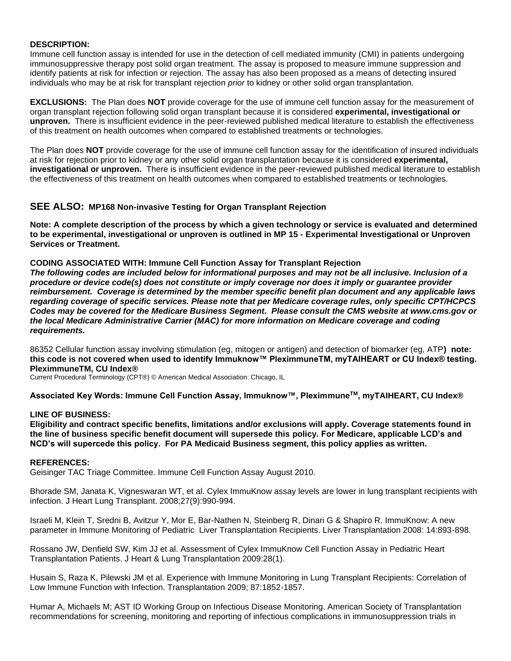#### **DESCRIPTION:**

Immune cell function assay is intended for use in the detection of cell mediated immunity (CMI) in patients undergoing immunosuppressive therapy post solid organ treatment. The assay is proposed to measure immune suppression and identify patients at risk for infection or rejection. The assay has also been proposed as a means of detecting insured individuals who may be at risk for transplant rejection *prior* to kidney or other solid organ transplantation.

**EXCLUSIONS:** The Plan does **NOT** provide coverage for the use of immune cell function assay for the measurement of organ transplant rejection following solid organ transplant because it is considered **experimental, investigational or unproven.** There is insufficient evidence in the peer-reviewed published medical literature to establish the effectiveness of this treatment on health outcomes when compared to established treatments or technologies.

The Plan does **NOT** provide coverage for the use of immune cell function assay for the identification of insured individuals at risk for rejection prior to kidney or any other solid organ transplantation because it is considered **experimental, investigational or unproven.** There is insufficient evidence in the peer-reviewed published medical literature to establish the effectiveness of this treatment on health outcomes when compared to established treatments or technologies.

### **SEE ALSO: MP168 Non-invasive Testing for Organ Transplant Rejection**

**Note: A complete description of the process by which a given technology or service is evaluated and determined to be experimental, investigational or unproven is outlined in MP 15 - Experimental Investigational or Unproven Services or Treatment.**

#### **CODING ASSOCIATED WITH: Immune Cell Function Assay for Transplant Rejection**

*The following codes are included below for informational purposes and may not be all inclusive. Inclusion of a procedure or device code(s) does not constitute or imply coverage nor does it imply or guarantee provider reimbursement. Coverage is determined by the member specific benefit plan document and any applicable laws regarding coverage of specific services. Please note that per Medicare coverage rules, only specific CPT/HCPCS Codes may be covered for the Medicare Business Segment. Please consult the CMS website at www.cms.gov or the local Medicare Administrative Carrier (MAC) for more information on Medicare coverage and coding requirements.*

86352 Cellular function assay involving stimulation (eg, mitogen or antigen) and detection of biomarker (eg, ATP**) note: this code is not covered when used to identify Immuknow™ PleximmuneTM, myTAIHEART or CU Index® testing. PleximmuneTM, CU Index®**

Current Procedural Terminology (CPT®) © American Medical Association: Chicago, IL

**Associated Key Words: Immune Cell Function Assay, Immuknow™, PleximmuneTM, myTAIHEART, CU Index®**

#### **LINE OF BUSINESS:**

**Eligibility and contract specific benefits, limitations and/or exclusions will apply. Coverage statements found in the line of business specific benefit document will supersede this policy. For Medicare, applicable LCD's and NCD's will supercede this policy. For PA Medicaid Business segment, this policy applies as written.**

#### **REFERENCES:**

Geisinger TAC Triage Committee. Immune Cell Function Assay August 2010.

Bhorade SM, Janata K, Vigneswaran WT, et al. Cylex ImmuKnow assay levels are lower in lung transplant recipients with infection. J Heart Lung Transplant. 2008;27(9):990-994.

Israeli M, Klein T, Sredni B, Avitzur Y, Mor E, Bar-Nathen N, Steinberg R, Dinari G & Shapiro R. ImmuKnow: A new parameter in Immune Monitoring of Pediatric Liver Transplantation Recipients. Liver Transplantation 2008: 14:893-898.

Rossano JW, Denfield SW, Kim JJ et al. Assessment of Cylex ImmuKnow Cell Function Assay in Pediatric Heart Transplantation Patients. J Heart & Lung Transplantation 2009:28(1).

Husain S, Raza K, Pilewski JM et al. Experience with Immune Monitoring in Lung Transplant Recipients: Correlation of Low Immune Function with Infection. Transplantation 2009; 87:1852-1857.

Humar A, Michaels M; AST ID Working Group on Infectious Disease Monitoring. American Society of Transplantation recommendations for screening, monitoring and reporting of infectious complications in immunosuppression trials in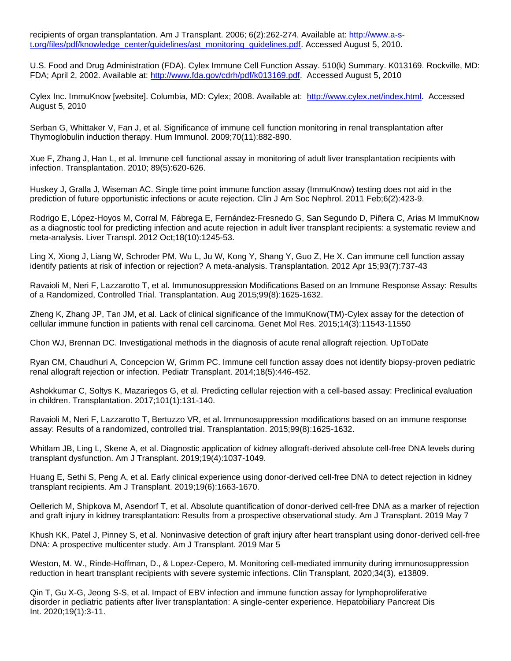recipients of organ transplantation. Am J Transplant. 2006; 6(2):262-274. Available at: [http://www.a-s](http://www.a-s-t.org/files/pdf/knowledge_center/guidelines/ast_monitoring_guidelines.pdf)[t.org/files/pdf/knowledge\\_center/guidelines/ast\\_monitoring\\_guidelines.pdf.](http://www.a-s-t.org/files/pdf/knowledge_center/guidelines/ast_monitoring_guidelines.pdf) Accessed August 5, 2010.

U.S. Food and Drug Administration (FDA). Cylex Immune Cell Function Assay. 510(k) Summary. K013169. Rockville, MD: FDA; April 2, 2002. Available at: [http://www.fda.gov/cdrh/pdf/k013169.pdf.](http://www.fda.gov/cdrh/pdf/k013169.pdf) Accessed August 5, 2010

Cylex Inc. ImmuKnow [website]. Columbia, MD: Cylex; 2008. Available at: [http://www.cylex.net/index.html.](http://www.cylex.net/index.html) Accessed August 5, 2010

Serban G, Whittaker V, Fan J, et al. Significance of immune cell function monitoring in renal transplantation after Thymoglobulin induction therapy. Hum Immunol. 2009;70(11):882-890.

Xue F, Zhang J, Han L, et al. Immune cell functional assay in monitoring of adult liver transplantation recipients with infection. Transplantation. 2010; 89(5):620-626.

[Huskey J,](http://www.ncbi.nlm.nih.gov/pubmed?term=Huskey%20J%5BAuthor%5D&cauthor=true&cauthor_uid=21088287) [Gralla J,](http://www.ncbi.nlm.nih.gov/pubmed?term=Gralla%20J%5BAuthor%5D&cauthor=true&cauthor_uid=21088287) [Wiseman AC.](http://www.ncbi.nlm.nih.gov/pubmed?term=Wiseman%20AC%5BAuthor%5D&cauthor=true&cauthor_uid=21088287) Single time point immune function assay (ImmuKnow) testing does not aid in the prediction of future opportunistic infections or acute rejection. [Clin J Am Soc Nephrol.](http://www.ncbi.nlm.nih.gov/pubmed/21088287) 2011 Feb;6(2):423-9.

[Rodrigo E,](http://www.ncbi.nlm.nih.gov/pubmed?term=Rodrigo%20E%5BAuthor%5D&cauthor=true&cauthor_uid=22740321) [López-Hoyos M,](http://www.ncbi.nlm.nih.gov/pubmed?term=L%C3%B3pez-Hoyos%20M%5BAuthor%5D&cauthor=true&cauthor_uid=22740321) [Corral M,](http://www.ncbi.nlm.nih.gov/pubmed?term=Corral%20M%5BAuthor%5D&cauthor=true&cauthor_uid=22740321) [Fábrega E,](http://www.ncbi.nlm.nih.gov/pubmed?term=F%C3%A1brega%20E%5BAuthor%5D&cauthor=true&cauthor_uid=22740321) [Fernández-Fresnedo G,](http://www.ncbi.nlm.nih.gov/pubmed?term=Fern%C3%A1ndez-Fresnedo%20G%5BAuthor%5D&cauthor=true&cauthor_uid=22740321) [San Segundo D,](http://www.ncbi.nlm.nih.gov/pubmed?term=San%20Segundo%20D%5BAuthor%5D&cauthor=true&cauthor_uid=22740321) [Piñera C,](http://www.ncbi.nlm.nih.gov/pubmed?term=Pi%C3%B1era%20C%5BAuthor%5D&cauthor=true&cauthor_uid=22740321) [Arias M](http://www.ncbi.nlm.nih.gov/pubmed?term=Arias%20M%5BAuthor%5D&cauthor=true&cauthor_uid=22740321) ImmuKnow as a diagnostic tool for predicting infection and acute rejection in adult liver transplant recipients: a systematic review and meta-analysis. [Liver Transpl.](http://www.ncbi.nlm.nih.gov/pubmed/22740321) 2012 Oct;18(10):1245-53.

[Ling X,](http://www.ncbi.nlm.nih.gov/pubmed?term=Ling%20X%5BAuthor%5D&cauthor=true&cauthor_uid=22357178) [Xiong J,](http://www.ncbi.nlm.nih.gov/pubmed?term=Xiong%20J%5BAuthor%5D&cauthor=true&cauthor_uid=22357178) [Liang W,](http://www.ncbi.nlm.nih.gov/pubmed?term=Liang%20W%5BAuthor%5D&cauthor=true&cauthor_uid=22357178) [Schroder PM,](http://www.ncbi.nlm.nih.gov/pubmed?term=Schroder%20PM%5BAuthor%5D&cauthor=true&cauthor_uid=22357178) [Wu L,](http://www.ncbi.nlm.nih.gov/pubmed?term=Wu%20L%5BAuthor%5D&cauthor=true&cauthor_uid=22357178) [Ju W,](http://www.ncbi.nlm.nih.gov/pubmed?term=Ju%20W%5BAuthor%5D&cauthor=true&cauthor_uid=22357178) [Kong Y,](http://www.ncbi.nlm.nih.gov/pubmed?term=Kong%20Y%5BAuthor%5D&cauthor=true&cauthor_uid=22357178) [Shang Y,](http://www.ncbi.nlm.nih.gov/pubmed?term=Shang%20Y%5BAuthor%5D&cauthor=true&cauthor_uid=22357178) [Guo Z,](http://www.ncbi.nlm.nih.gov/pubmed?term=Guo%20Z%5BAuthor%5D&cauthor=true&cauthor_uid=22357178) [He X.](http://www.ncbi.nlm.nih.gov/pubmed?term=He%20X%5BAuthor%5D&cauthor=true&cauthor_uid=22357178) Can immune cell function assay identify patients at risk of infection or rejection? A meta-analysis. Transplantation. 2012 Apr 15;93(7):737-43

Ravaioli M, Neri F, Lazzarotto T, et al. Immunosuppression Modifications Based on an Immune Response Assay: Results of a Randomized, Controlled Trial. Transplantation. Aug 2015;99(8):1625-1632.

Zheng K, Zhang JP, Tan JM, et al. Lack of clinical significance of the ImmuKnow(TM)-Cylex assay for the detection of cellular immune function in patients with renal cell carcinoma. Genet Mol Res. 2015;14(3):11543-11550

Chon WJ, Brennan DC. Investigational methods in the diagnosis of acute renal allograft rejection. UpToDate

Ryan CM, Chaudhuri A, Concepcion W, Grimm PC. Immune cell function assay does not identify biopsy-proven pediatric renal allograft rejection or infection. Pediatr Transplant. 2014;18(5):446-452.

Ashokkumar C, Soltys K, Mazariegos G, et al. Predicting cellular rejection with a cell-based assay: Preclinical evaluation in children. Transplantation. 2017;101(1):131-140.

Ravaioli M, Neri F, Lazzarotto T, Bertuzzo VR, et al. Immunosuppression modifications based on an immune response assay: Results of a randomized, controlled trial. Transplantation. 2015;99(8):1625-1632.

Whitlam JB, Ling L, Skene A, et al. Diagnostic application of kidney allograft-derived absolute cell-free DNA levels during transplant dysfunction. Am J Transplant. 2019;19(4):1037-1049.

Huang E, Sethi S, Peng A, et al. Early clinical experience using donor-derived cell-free DNA to detect rejection in kidney transplant recipients. Am J Transplant. 2019;19(6):1663-1670.

Oellerich M, Shipkova M, Asendorf T, et al. Absolute quantification of donor-derived cell-free DNA as a marker of rejection and graft injury in kidney transplantation: Results from a prospective observational study. Am J Transplant. 2019 May 7

Khush KK, Patel J, Pinney S, et al. Noninvasive detection of graft injury after heart transplant using donor-derived cell-free DNA: A prospective multicenter study. Am J Transplant. 2019 Mar 5

Weston, M. W., Rinde-Hoffman, D., & Lopez-Cepero, M. Monitoring cell-mediated immunity during immunosuppression reduction in heart transplant recipients with severe systemic infections. Clin Transplant, 2020;34(3), e13809.

Qin T, Gu X-G, Jeong S-S, et al. Impact of EBV infection and immune function assay for lymphoproliferative disorder in pediatric patients after liver transplantation: A single-center experience. Hepatobiliary Pancreat Dis Int. 2020;19(1):3-11.